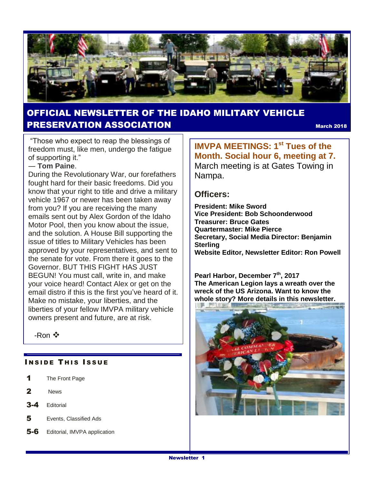

#### OFFICIAL NEWSLETTER OF THE IDAHO MILITARY VEHICLE PRESERVATION ASSOCIATION March <sup>2018</sup>

"Those who expect to reap the blessings of freedom must, like men, undergo the fatigue of supporting it."

#### ― **[Tom Paine](https://www.goodreads.com/author/show/170095.Tom_Paine)**.

During the Revolutionary War, our forefathers fought hard for their basic freedoms. Did you know that your right to title and drive a military vehicle 1967 or newer has been taken away from you? If you are receiving the many emails sent out by Alex Gordon of the Idaho Motor Pool, then you know about the issue, and the solution. A House Bill supporting the issue of titles to Military Vehicles has been approved by your representatives, and sent to the senate for vote. From there it goes to the Governor. BUT THIS FIGHT HAS JUST BEGUN! You must call, write in, and make your voice heard! Contact Alex or get on the email distro if this is the first you've heard of it. Make no mistake, your liberties, and the liberties of your fellow IMVPA military vehicle owners present and future, are at risk.

-Ron

#### **INSIDE THIS ISSUE**

- 1 The Front Page
- 2 News
- 3-4 Editorial
- 5 Events, Classified Ads
- 5-6 Editorial, IMVPA application

**IMVPA MEETINGS: 1st Tues of the Month. Social hour 6, meeting at 7.**  March meeting is at Gates Towing in Nampa.

#### **Officers:**

**President: Mike Sword Vice President: Bob Schoonderwood Treasurer: Bruce Gates Quartermaster: Mike Pierce Secretary, Social Media Director: Benjamin Sterling Website Editor, Newsletter Editor: Ron Powell**

**Pearl Harbor, December 7th, 2017 The American Legion lays a wreath over the wreck of the US Arizona. Want to know the whole story? More details in this newsletter.**

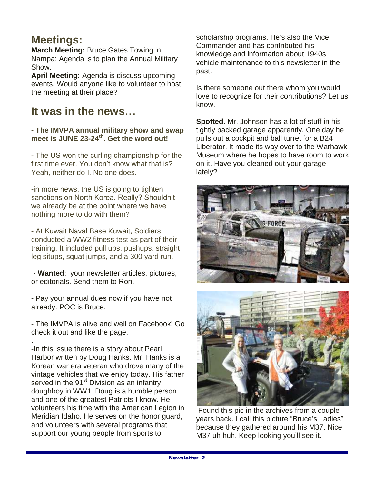### **Meetings:**

**March Meeting:** Bruce Gates Towing in Nampa: Agenda is to plan the Annual Military Show.

**April Meeting:** Agenda is discuss upcoming events. Would anyone like to volunteer to host the meeting at their place?

### **It was in the news…**

**- The IMVPA annual military show and swap meet is JUNE 23-24th . Get the word out!**

**-** The US won the curling championship for the first time ever. You don't know what that is? Yeah, neither do I. No one does.

-in more news, the US is going to tighten sanctions on North Korea. Really? Shouldn't we already be at the point where we have nothing more to do with them?

**-** At Kuwait Naval Base Kuwait, Soldiers conducted a WW2 fitness test as part of their training. It included pull ups, pushups, straight leg situps, squat jumps, and a 300 yard run.

- **Wanted**: your newsletter articles, pictures, or editorials. Send them to Ron.

- Pay your annual dues now if you have not already. POC is Bruce.

- The IMVPA is alive and well on Facebook! Go check it out and like the page.

. -In this issue there is a story about Pearl Harbor written by Doug Hanks. Mr. Hanks is a Korean war era veteran who drove many of the vintage vehicles that we enjoy today. His father served in the 91<sup>st</sup> Division as an infantry doughboy in WW1. Doug is a humble person and one of the greatest Patriots I know. He volunteers his time with the American Legion in Meridian Idaho. He serves on the honor guard, and volunteers with several programs that support our young people from sports to

scholarship programs. He's also the Vice Commander and has contributed his knowledge and information about 1940s vehicle maintenance to this newsletter in the past.

Is there someone out there whom you would love to recognize for their contributions? Let us know.

**Spotted**. Mr. Johnson has a lot of stuff in his tightly packed garage apparently. One day he pulls out a cockpit and ball turret for a B24 Liberator. It made its way over to the Warhawk Museum where he hopes to have room to work on it. Have you cleaned out your garage lately?





Found this pic in the archives from a couple years back. I call this picture "Bruce's Ladies" because they gathered around his M37. Nice M37 uh huh. Keep looking you'll see it.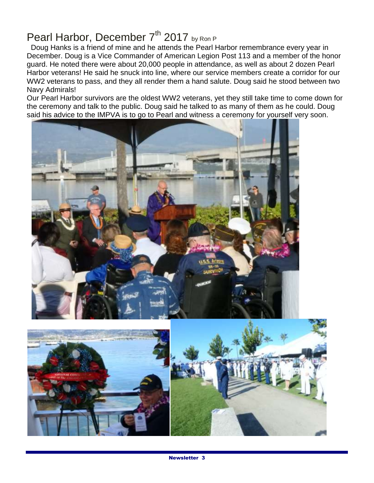## Pearl Harbor, December 7<sup>th</sup> 2017 by Ron P

 Doug Hanks is a friend of mine and he attends the Pearl Harbor remembrance every year in December. Doug is a Vice Commander of American Legion Post 113 and a member of the honor guard. He noted there were about 20,000 people in attendance, as well as about 2 dozen Pearl Harbor veterans! He said he snuck into line, where our service members create a corridor for our WW2 veterans to pass, and they all render them a hand salute. Doug said he stood between two Navy Admirals!

Our Pearl Harbor survivors are the oldest WW2 veterans, yet they still take time to come down for the ceremony and talk to the public. Doug said he talked to as many of them as he could. Doug said his advice to the IMPVA is to go to Pearl and witness a ceremony for yourself very soon.



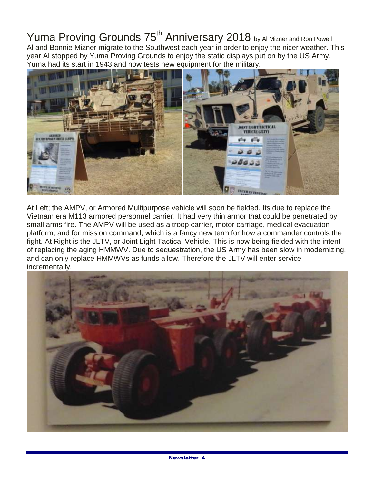Yuma Proving Grounds 75<sup>th</sup> Anniversary 2018 by Al Mizner and Ron Powell Al and Bonnie Mizner migrate to the Southwest each year in order to enjoy the nicer weather. This year Al stopped by Yuma Proving Grounds to enjoy the static displays put on by the US Army. Yuma had its start in 1943 and now tests new equipment for the military.



At Left; the AMPV, or Armored Multipurpose vehicle will soon be fielded. Its due to replace the Vietnam era M113 armored personnel carrier. It had very thin armor that could be penetrated by small arms fire. The AMPV will be used as a troop carrier, motor carriage, medical evacuation platform, and for mission command, which is a fancy new term for how a commander controls the fight. At Right is the JLTV, or Joint Light Tactical Vehicle. This is now being fielded with the intent of replacing the aging HMMWV. Due to sequestration, the US Army has been slow in modernizing, and can only replace HMMWVs as funds allow. Therefore the JLTV will enter service incrementally.

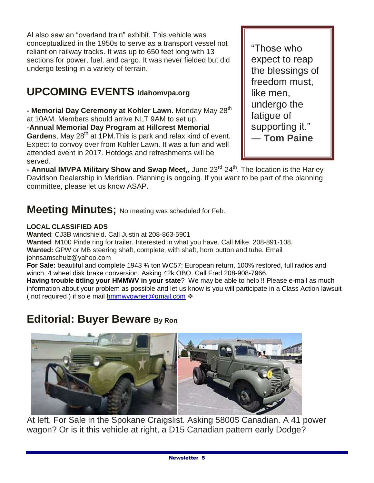Al also saw an "overland train" exhibit. This vehicle was conceptualized in the 1950s to serve as a transport vessel not reliant on railway tracks. It was up to 650 feet long with 13 sections for power, fuel, and cargo. It was never fielded but did undergo testing in a variety of terrain.

## **UPCOMING EVENTS Idahomvpa.org**

**- Memorial Day Ceremony at Kohler Lawn.** Monday May 28<sup>th</sup> at 10AM. Members should arrive NLT 9AM to set up. -**Annual Memorial Day Program at Hillcrest Memorial Garden**s, May 28<sup>th</sup> at 1PM. This is park and relax kind of event. Expect to convoy over from Kohler Lawn. It was a fun and well attended event in 2017. Hotdogs and refreshments will be served.

"Those who expect to reap the blessings of freedom must, like men, undergo the fatigue of supporting it." ― **[Tom Paine](https://www.goodreads.com/author/show/170095.Tom_Paine)**

**- Annual IMVPA Military Show and Swap Meet,**, June 23<sup>rd</sup>-24<sup>th</sup>. The location is the Harley Davidson Dealership in Meridian. Planning is ongoing. If you want to be part of the planning committee, please let us know ASAP.

### **Meeting Minutes;** No meeting was scheduled for Feb.

#### **LOCAL CLASSIFIED ADS**

**Wanted**: CJ3B windshield. Call Justin at 208-863-5901 **Wanted**: M100 Pintle ring for trailer. Interested in what you have. Call Mike 208-891-108. **Wanted:** GPW or MB steering shaft, complete, with shaft, horn button and tube. Email johnsamschulz@yahoo.com

**For Sale:** beautiful and complete 1943 ¾ ton WC57; European return, 100% restored, full radios and winch, 4 wheel disk brake conversion. Asking 42k OBO. Call Fred 208-908-7966.

**Having trouble titling your HMMWV in your state**? We may be able to help !! Please e-mail as much information about your problem as possible and let us know is you will participate in a Class Action lawsuit ( not required ) if so e mail [hmmwvowner@gmail.com](mailto:hmmwvowner@gmail.com)  $\cdot$ 

## **Editorial: Buyer Beware By Ron**



At left, For Sale in the Spokane Craigslist. Asking 5800\$ Canadian. A 41 power wagon? Or is it this vehicle at right, a D15 Canadian pattern early Dodge?